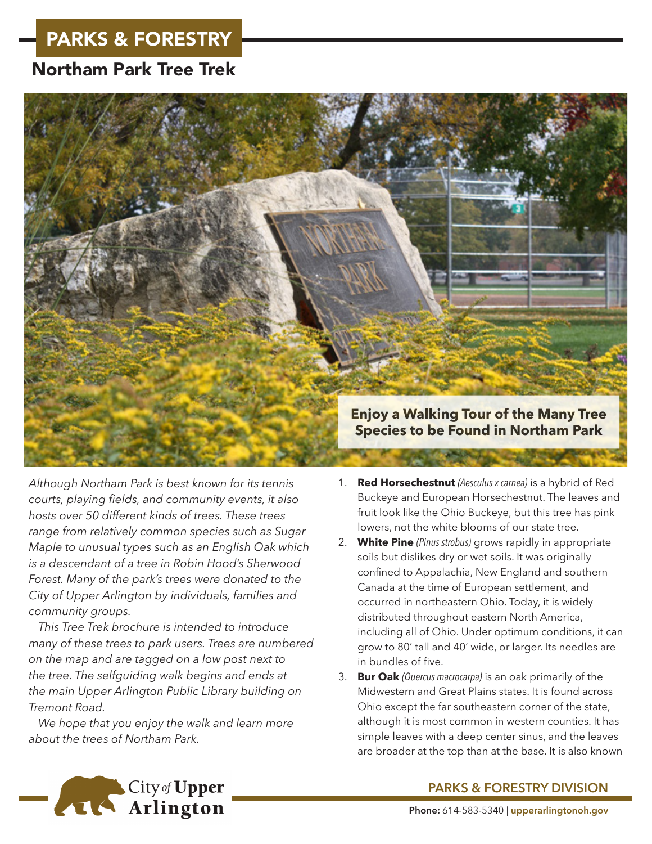## PARKS & FORESTRY

## Northam Park Tree Trek



*Although Northam Park is best known for its tennis courts, playing fields, and community events, it also hosts over 50 different kinds of trees. These trees range from relatively common species such as Sugar Maple to unusual types such as an English Oak which is a descendant of a tree in Robin Hood's Sherwood Forest. Many of the park's trees were donated to the City of Upper Arlington by individuals, families and community groups.*

*This Tree Trek brochure is intended to introduce many of these trees to park users. Trees are numbered on the map and are tagged on a low post next to the tree. The selfguiding walk begins and ends at the main Upper Arlington Public Library building on Tremont Road.*

*We hope that you enjoy the walk and learn more about the trees of Northam Park.*

- 1. **Red Horsechestnut** *(Aesculus x carnea)* is a hybrid of Red Buckeye and European Horsechestnut. The leaves and fruit look like the Ohio Buckeye, but this tree has pink lowers, not the white blooms of our state tree.
- 2. **White Pine** *(Pinus strobus)* grows rapidly in appropriate soils but dislikes dry or wet soils. It was originally confined to Appalachia, New England and southern Canada at the time of European settlement, and occurred in northeastern Ohio. Today, it is widely distributed throughout eastern North America, including all of Ohio. Under optimum conditions, it can grow to 80' tall and 40' wide, or larger. Its needles are in bundles of five.
- 3. **Bur Oak** *(Quercus macrocarpa)* is an oak primarily of the Midwestern and Great Plains states. It is found across Ohio except the far southeastern corner of the state, although it is most common in western counties. It has simple leaves with a deep center sinus, and the leaves are broader at the top than at the base. It is also known



## **PARKS & FORESTRY DIVISION**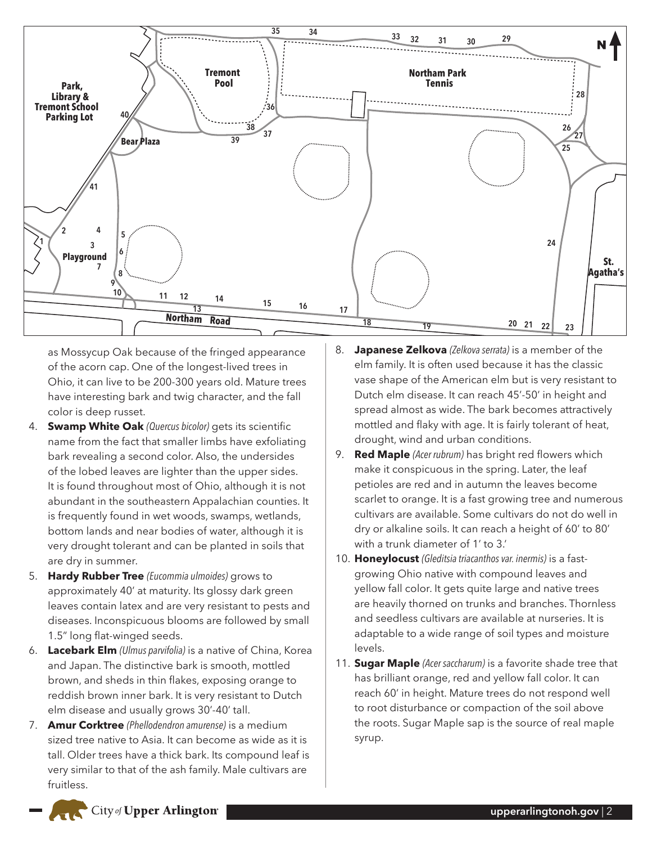

as Mossycup Oak because of the fringed appearance of the acorn cap. One of the longest-lived trees in Ohio, it can live to be 200-300 years old. Mature trees have interesting bark and twig character, and the fall color is deep russet.

- 4. **Swamp White Oak** *(Quercus bicolor)* gets its scientific name from the fact that smaller limbs have exfoliating bark revealing a second color. Also, the undersides of the lobed leaves are lighter than the upper sides. It is found throughout most of Ohio, although it is not abundant in the southeastern Appalachian counties. It is frequently found in wet woods, swamps, wetlands, bottom lands and near bodies of water, although it is very drought tolerant and can be planted in soils that are dry in summer.
- 5. **Hardy Rubber Tree** *(Eucommia ulmoides)* grows to approximately 40' at maturity. Its glossy dark green leaves contain latex and are very resistant to pests and diseases. Inconspicuous blooms are followed by small 1.5" long flat-winged seeds.
- 6. **Lacebark Elm** *(Ulmus parvifolia)* is a native of China, Korea and Japan. The distinctive bark is smooth, mottled brown, and sheds in thin flakes, exposing orange to reddish brown inner bark. It is very resistant to Dutch elm disease and usually grows 30'-40' tall.
- 7. **Amur Corktree** *(Phellodendron amurense)* is a medium sized tree native to Asia. It can become as wide as it is tall. Older trees have a thick bark. Its compound leaf is very similar to that of the ash family. Male cultivars are fruitless.
- 8. **Japanese Zelkova** *(Zelkova serrata)* is a member of the elm family. It is often used because it has the classic vase shape of the American elm but is very resistant to Dutch elm disease. It can reach 45'-50' in height and spread almost as wide. The bark becomes attractively mottled and flaky with age. It is fairly tolerant of heat, drought, wind and urban conditions.
- 9. **Red Maple** *(Acer rubrum)* has bright red flowers which make it conspicuous in the spring. Later, the leaf petioles are red and in autumn the leaves become scarlet to orange. It is a fast growing tree and numerous cultivars are available. Some cultivars do not do well in dry or alkaline soils. It can reach a height of 60' to 80' with a trunk diameter of 1' to 3.'
- 10. **Honeylocust** *(Gleditsia triacanthos var. inermis)* is a fastgrowing Ohio native with compound leaves and yellow fall color. It gets quite large and native trees are heavily thorned on trunks and branches. Thornless and seedless cultivars are available at nurseries. It is adaptable to a wide range of soil types and moisture levels.
- 11. **Sugar Maple** *(Acer saccharum)* is a favorite shade tree that has brilliant orange, red and yellow fall color. It can reach 60' in height. Mature trees do not respond well to root disturbance or compaction of the soil above the roots. Sugar Maple sap is the source of real maple syrup.

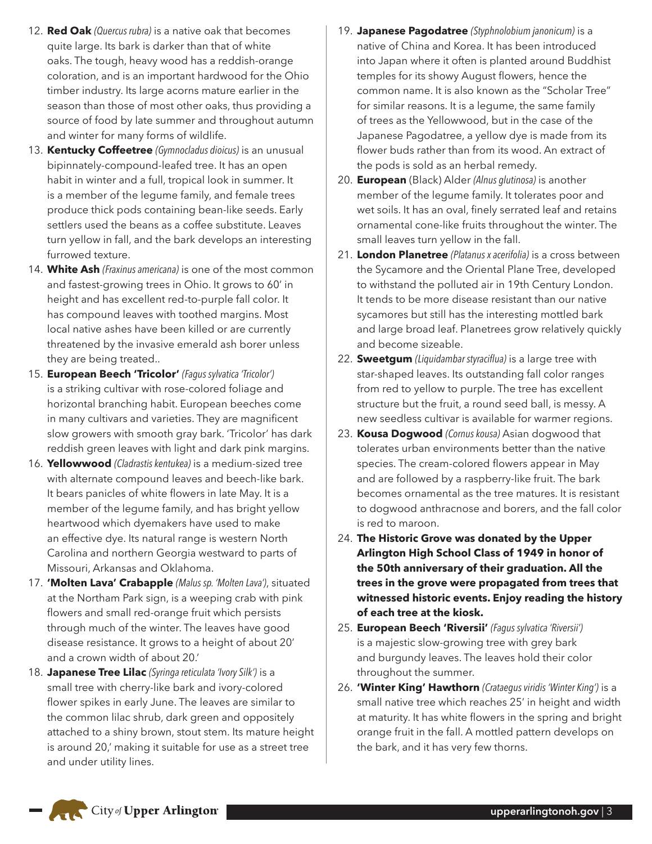- 12. **Red Oak** *(Quercus rubra)* is a native oak that becomes quite large. Its bark is darker than that of white oaks. The tough, heavy wood has a reddish-orange coloration, and is an important hardwood for the Ohio timber industry. Its large acorns mature earlier in the season than those of most other oaks, thus providing a source of food by late summer and throughout autumn and winter for many forms of wildlife.
- 13. **Kentucky Coffeetree** *(Gymnocladus dioicus)* is an unusual bipinnately-compound-leafed tree. It has an open habit in winter and a full, tropical look in summer. It is a member of the legume family, and female trees produce thick pods containing bean-like seeds. Early settlers used the beans as a coffee substitute. Leaves turn yellow in fall, and the bark develops an interesting furrowed texture.
- 14. **White Ash** *(Fraxinus americana)* is one of the most common and fastest-growing trees in Ohio. It grows to 60' in height and has excellent red-to-purple fall color. It has compound leaves with toothed margins. Most local native ashes have been killed or are currently threatened by the invasive emerald ash borer unless they are being treated..
- 15. **European Beech 'Tricolor'** *(Fagus sylvatica 'Tricolor')* is a striking cultivar with rose-colored foliage and horizontal branching habit. European beeches come in many cultivars and varieties. They are magnificent slow growers with smooth gray bark. 'Tricolor' has dark reddish green leaves with light and dark pink margins.
- 16. **Yellowwood** *(Cladrastis kentukea)* is a medium-sized tree with alternate compound leaves and beech-like bark. It bears panicles of white flowers in late May. It is a member of the legume family, and has bright yellow heartwood which dyemakers have used to make an effective dye. Its natural range is western North Carolina and northern Georgia westward to parts of Missouri, Arkansas and Oklahoma.
- 17. **'Molten Lava' Crabapple** *(Malus sp. 'Molten Lava')*, situated at the Northam Park sign, is a weeping crab with pink flowers and small red-orange fruit which persists through much of the winter. The leaves have good disease resistance. It grows to a height of about 20' and a crown width of about 20.'
- 18. **Japanese Tree Lilac** *(Syringa reticulata 'Ivory Silk')* is a small tree with cherry-like bark and ivory-colored flower spikes in early June. The leaves are similar to the common lilac shrub, dark green and oppositely attached to a shiny brown, stout stem. Its mature height is around 20,' making it suitable for use as a street tree and under utility lines.
- 19. **Japanese Pagodatree** *(Styphnolobium janonicum)* is a native of China and Korea. It has been introduced into Japan where it often is planted around Buddhist temples for its showy August flowers, hence the common name. It is also known as the "Scholar Tree" for similar reasons. It is a legume, the same family of trees as the Yellowwood, but in the case of the Japanese Pagodatree, a yellow dye is made from its flower buds rather than from its wood. An extract of the pods is sold as an herbal remedy.
- 20. **European** (Black) Alder *(Alnus glutinosa)* is another member of the legume family. It tolerates poor and wet soils. It has an oval, finely serrated leaf and retains ornamental cone-like fruits throughout the winter. The small leaves turn yellow in the fall.
- 21. **London Planetree** *(Platanus x acerifolia)* is a cross between the Sycamore and the Oriental Plane Tree, developed to withstand the polluted air in 19th Century London. It tends to be more disease resistant than our native sycamores but still has the interesting mottled bark and large broad leaf. Planetrees grow relatively quickly and become sizeable.
- 22. **Sweetgum** *(Liquidambar styraciflua)* is a large tree with star-shaped leaves. Its outstanding fall color ranges from red to yellow to purple. The tree has excellent structure but the fruit, a round seed ball, is messy. A new seedless cultivar is available for warmer regions.
- 23. **Kousa Dogwood** *(Cornus kousa)* Asian dogwood that tolerates urban environments better than the native species. The cream-colored flowers appear in May and are followed by a raspberry-like fruit. The bark becomes ornamental as the tree matures. It is resistant to dogwood anthracnose and borers, and the fall color is red to maroon.
- 24. **The Historic Grove was donated by the Upper Arlington High School Class of 1949 in honor of the 50th anniversary of their graduation. All the trees in the grove were propagated from trees that witnessed historic events. Enjoy reading the history of each tree at the kiosk.**
- 25. **European Beech 'Riversii'** *(Fagus sylvatica 'Riversii')* is a majestic slow-growing tree with grey bark and burgundy leaves. The leaves hold their color throughout the summer.
- 26. **'Winter King' Hawthorn** *(Crataegus viridis 'Winter King')* is a small native tree which reaches 25' in height and width at maturity. It has white flowers in the spring and bright orange fruit in the fall. A mottled pattern develops on the bark, and it has very few thorns.